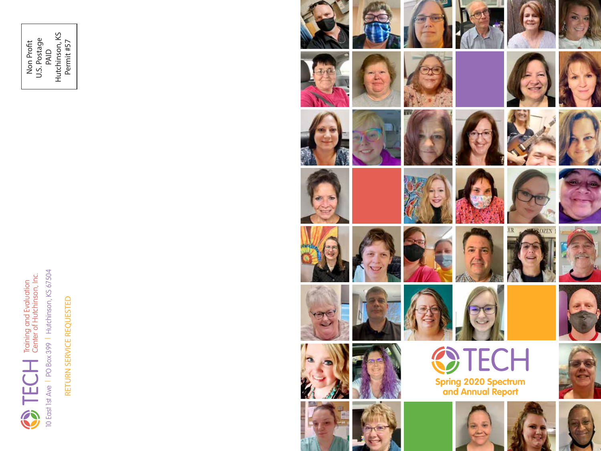

Non Profit U.S. Postage Non Profit<br>U.S. Postage<br>PAID<br>Hutchinson, KS<br>Permit #57 Hutchinson, KS Permit #57

> RETURN SERVICE REQUESTED RETURN SERVICE REQUESTED

10 East 1st Ave | PO Box 399 | Hutchinson, KS 67504

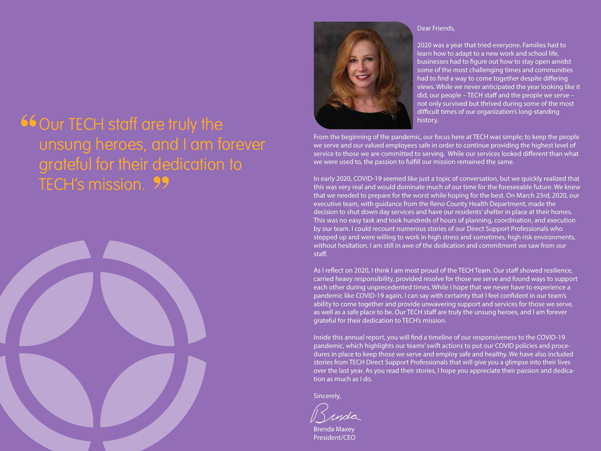# **66 Our TECH staff are truly the** unsung heroes, and I am forever grateful for their dedication to TECH's mission.





#### Dear Friends,

2020 was a year that tried everyone. Families had to learn how to adapt to a new work and school life, businesses had to figure out how to stay open amidst some of the most challenging times and communities had to find a way to come together despite differing views. While we never anticipated the year looking like it did, our people – TECH staff and the people we serve – not only survived but thrived during some of the most difficult times of our organization's long-standing history.

From the beginning of the pandemic, our focus here at TECH was simple; to keep the people we serve and our valued employees safe in order to continue providing the highest level of service to those we are committed to serving. While our services looked different than what we were used to, the passion to fulfill our mission remained the same.

In early 2020, COVID-19 seemed like just a topic of conversation, but we quickly realized that this was very real and would dominate much of our time for the foreseeable future. We knew that we needed to prepare for the worst while hoping for the best. On March 23rd, 2020, our executive team, with guidance from the Reno County Health Department, made the decision to shut down day services and have our residents' shelter in place at their homes. This was no easy task and took hundreds of hours of planning, coordination, and execution by our team. I could recount numerous stories of our Direct Support Professionals who stepped up and were willing to work in high stress and sometimes, high risk environments, without hesitation. I am still in awe of the dedication and commitment we saw from our staff.

As I reflect on 2020, I think I am most proud of the TECH Team. Our staff showed resilience, carried heavy responsibility, provided resolve for those we serve and found ways to support each other during unprecedented times. While I hope that we never have to experience a pandemic like COVID-19 again, I can say with certainty that I feel confident in our team's ability to come together and provide unwavering support and services for those we serve, as well as a safe place to be. Our TECH staff are truly the unsung heroes, and I am forever grateful for their dedication to TECH's mission.

Inside this annual report, you will find a timeline of our responsiveness to the COVID-19 pandemic, which highlights our teams' swift actions to put our COVID policies and procedures in place to keep those we serve and employ safe and healthy. We have also included stories from TECH Direct Support Professionals that will give you a glimpse into their lives over the last year. As you read their stories, I hope you appreciate their passion and dedication as much as I do.

Sincerely,

Brenda Maxey President/CEO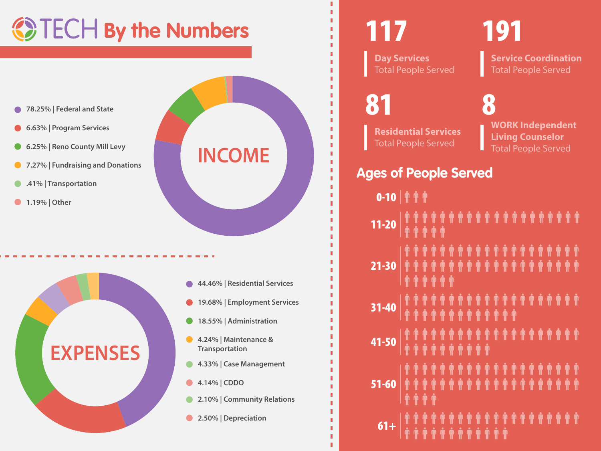# **By the Numbers**

- **78.25% | Federal and State**
- **6.63% | Program Services**
- **6.25% | Reno County Mill Levy**
- **7.27% | Fundraising and Donations**
- **.41% | Transportation**
- **1.19% | Other**



- **44.46% | Residential Services**
- **19.68% | Employment Services**
- **18.55% | Administration**  $\bullet$

**INCOME**

- **4.24% | Maintenance &**   $\bullet$ **Transportation**
- **4.33% | Case Management**  $\bullet$
- **4.14% | CDDO**
- **2.10% | Community Relations**  $\bullet$
- **2.50% | Depreciation**

# 117

**Day Services**  Total People Served

# 191

**Service Coordination** Total People Served

81

П п

п П

п

**Residential Services**  Total People Served

**WORK Independent Living Counselor** Total People Served 8

## **Ages of People Served**

| $0 - 10$   $\hat{\mathbb{T}}$ $\hat{\mathbb{T}}$ |  |  |  |  |  |  |  |  |  |  |
|--------------------------------------------------|--|--|--|--|--|--|--|--|--|--|
|                                                  |  |  |  |  |  |  |  |  |  |  |
|                                                  |  |  |  |  |  |  |  |  |  |  |
|                                                  |  |  |  |  |  |  |  |  |  |  |
|                                                  |  |  |  |  |  |  |  |  |  |  |
|                                                  |  |  |  |  |  |  |  |  |  |  |
|                                                  |  |  |  |  |  |  |  |  |  |  |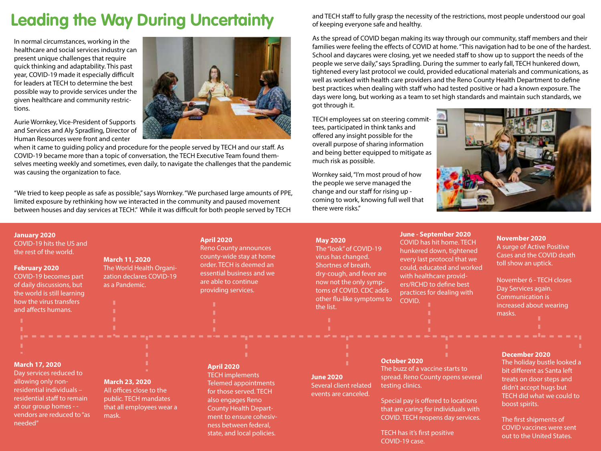# **Leading the Way During Uncertainty**

In normal circumstances, working in the healthcare and social services industry can present unique challenges that require quick thinking and adaptability. This past year, COVID-19 made it especially difficult for leaders at TECH to determine the best possible way to provide services under the given healthcare and community restrictions.

Aurie Wornkey, Vice-President of Supports and Services and Aly Spradling, Director of Human Resources were front and center

when it came to guiding policy and procedure for the people served by TECH and our staff. As COVID-19 became more than a topic of conversation, the TECH Executive Team found themselves meeting weekly and sometimes, even daily, to navigate the challenges that the pandemic was causing the organization to face.

"We tried to keep people as safe as possible," says Wornkey. "We purchased large amounts of PPE, limited exposure by rethinking how we interacted in the community and paused movement between houses and day services at TECH." While it was difficult for both people served by TECH

and TECH staff to fully grasp the necessity of the restrictions, most people understood our goal of keeping everyone safe and healthy.

As the spread of COVID began making its way through our community, staff members and their families were feeling the effects of COVID at home. "This navigation had to be one of the hardest. School and daycares were closing, yet we needed staff to show up to support the needs of the people we serve daily," says Spradling. During the summer to early fall, TECH hunkered down, tightened every last protocol we could, provided educational materials and communications, as well as worked with health care providers and the Reno County Health Department to define best practices when dealing with staff who had tested positive or had a known exposure. The days were long, but working as a team to set high standards and maintain such standards, we got through it.

TECH employees sat on steering committees, participated in think tanks and offered any insight possible for the overall purpose of sharing information and being better equipped to mitigate as much risk as possible.

Wornkey said, "I'm most proud of how the people we serve managed the change and our staff for rising up coming to work, knowing full well that there were risks."



#### **January 2020**

COVID-19 hits the US and the rest of the world.

#### **February 2020**

COVID-19 becomes part of daily discussions, but the world is still learning how the virus transfers and affects humans.

### **March 11, 2020**

The World Health Organization declares COVID-19 as a Pandemic.

#### **April 2020**

Reno County announces county-wide stay at home order. TECH is deemed an essential business and we are able to continue providing services.

#### **May 2020**

The "look" of COVID-19 virus has changed. Shortnes of breath, dry-cough, and fever are now not the only symptoms of COVID. CDC adds other flu-like symptoms to the list.

#### **June - September 2020**

COVID has hit home. TECH hunkered down, tightened every last protocol that we could, educated and worked with healthcare providers/RCHD to define best practices for dealing with COVID.

#### **November 2020** A surge of Active Positive Cases and the COVID death toll show an uptick.

November 6 - TECH closes Day Services again. Communication is increased about wearing masks.

#### **March 17, 2020**

Day services reduced to allowing only nonresidential individuals – residential staff to remain at our group homes - vendors are reduced to "as needed"

### **March 23, 2020**

All offices close to the public. TECH mandates that all employees wear a mask.

#### **April 2020**

TECH implements Telemed appointments for those served. TECH also engages Reno County Health Department to ensure cohesivness between federal, state, and local policies.

## **June 2020**

Several client related events are canceled.

#### **October 2020**

The buzz of a vaccine starts to spread. Reno County opens several testing clinics.

Special pay is offered to locations that are caring for individuals with COVID. TECH reopens day services.

TECH has it's first positive COVID-19 case.

### **December 2020**

The holiday bustle looked a bit different as Santa left treats on door steps and didn't accept hugs but TECH did what we could to boost spirits.

The first shipments of COVID vaccines were sent out to the United States.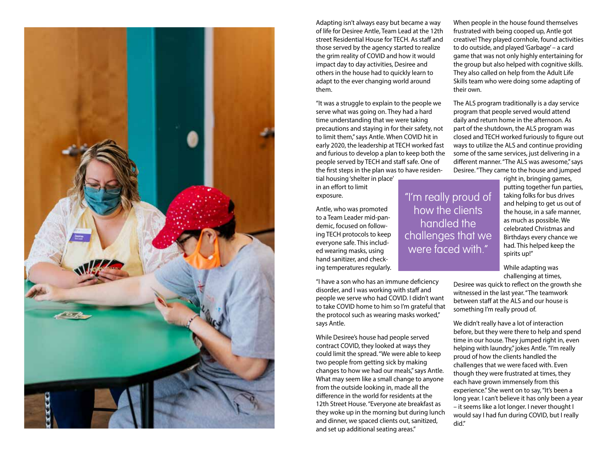

Adapting isn't always easy but became a way of life for Desiree Antle, Team Lead at the 12th street Residential House for TFCH. As staff and those served by the agency started to realize the grim reality of COVID and how it would impact day to day activities, Desiree and others in the house had to quickly learn to adapt to the ever changing world around them.

"It was a struggle to explain to the people we serve what was going on. They had a hard time understanding that we were taking precautions and staying in for their safety, not to limit them," says Antle. When COVID hit in early 2020, the leadership at TECH worked fast and furious to develop a plan to keep both the people served by TECH and staff safe. One of the first steps in the plan was to have residen-

tial housing 'shelter in place' in an effort to limit exposure.

Antle, who was promoted to a Team Leader mid-pandemic, focused on following TECH protocols to keep everyone safe. This included wearing masks, using hand sanitizer, and checking temperatures regularly.

"I have a son who has an immune deficiency disorder, and I was working with staff and people we serve who had COVID. I didn't want to take COVID home to him so I'm grateful that the protocol such as wearing masks worked," says Antle.

While Desiree's house had people served contract COVID, they looked at ways they could limit the spread. "We were able to keep two people from getting sick by making changes to how we had our meals," says Antle. What may seem like a small change to anyone from the outside looking in, made all the difference in the world for residents at the 12th Street House. "Everyone ate breakfast as they woke up in the morning but during lunch and dinner, we spaced clients out, sanitized, and set up additional seating areas."

When people in the house found themselves frustrated with being cooped up, Antle got creative! They played cornhole, found activities to do outside, and played 'Garbage' – a card game that was not only highly entertaining for the group but also helped with cognitive skills. They also called on help from the Adult Life Skills team who were doing some adapting of their own.

The ALS program traditionally is a day service program that people served would attend daily and return home in the afternoon. As part of the shutdown, the ALS program was closed and TECH worked furiously to figure out ways to utilize the ALS and continue providing some of the same services, just delivering in a different manner. "The ALS was awesome," says Desiree. "They came to the house and jumped

> right in, bringing games, putting together fun parties, taking folks for bus drives and helping to get us out of the house, in a safe manner, as much as possible. We celebrated Christmas and Birthdays every chance we had. This helped keep the spirits up!"

While adapting was challenging at times,

Desiree was quick to reflect on the growth she witnessed in the last year. "The teamwork between staff at the ALS and our house is something I'm really proud of.

We didn't really have a lot of interaction before, but they were there to help and spend time in our house. They jumped right in, even helping with laundry," jokes Antle. "I'm really proud of how the clients handled the challenges that we were faced with. Even though they were frustrated at times, they each have grown immensely from this experience." She went on to say, "It's been a long year. I can't believe it has only been a year – it seems like a lot longer. I never thought I would say I had fun during COVID, but I really did."

"I'm really proud of how the clients handled the challenges that we were faced with."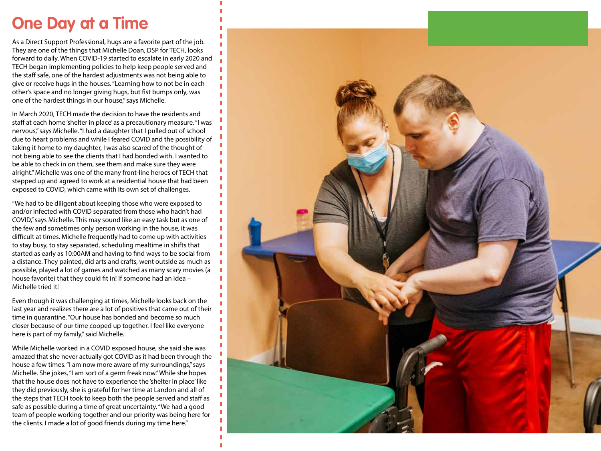## **One Day at a Time**

As a Direct Support Professional, hugs are a favorite part of the job. They are one of the things that Michelle Doan, DSP for TECH, looks forward to daily. When COVID-19 started to escalate in early 2020 and TECH began implementing policies to help keep people served and the staff safe, one of the hardest adjustments was not being able to give or receive hugs in the houses. "Learning how to not be in each other's space and no longer giving hugs, but fist bumps only, was one of the hardest things in our house," says Michelle.

In March 2020, TECH made the decision to have the residents and staff at each home 'shelter in place' as a precautionary measure. "I was nervous," says Michelle. "I had a daughter that I pulled out of school due to heart problems and while I feared COVID and the possibility of taking it home to my daughter, I was also scared of the thought of not being able to see the clients that I had bonded with. I wanted to be able to check in on them, see them and make sure they were alright." Michelle was one of the many front-line heroes of TECH that stepped up and agreed to work at a residential house that had been exposed to COVID, which came with its own set of challenges.

"We had to be diligent about keeping those who were exposed to and/or infected with COVID separated from those who hadn't had COVID," says Michelle. This may sound like an easy task but as one of the few and sometimes only person working in the house, it was difficult at times. Michelle frequently had to come up with activities to stay busy, to stay separated, scheduling mealtime in shifts that started as early as 10:00AM and having to find ways to be social from a distance. They painted, did arts and crafts, went outside as much as possible, played a lot of games and watched as many scary movies (a house favorite) that they could fit in! If someone had an idea -Michelle tried it!

Even though it was challenging at times, Michelle looks back on the last year and realizes there are a lot of positives that came out of their time in quarantine. "Our house has bonded and become so much closer because of our time cooped up together. I feel like everyone here is part of my family," said Michelle.

While Michelle worked in a COVID exposed house, she said she was amazed that she never actually got COVID as it had been through the house a few times. "I am now more aware of my surroundings," says Michelle. She jokes, "I am sort of a germ freak now." While she hopes that the house does not have to experience the 'shelter in place' like they did previously, she is grateful for her time at Landon and all of the steps that TECH took to keep both the people served and staff as safe as possible during a time of great uncertainty. "We had a good team of people working together and our priority was being here for the clients. I made a lot of good friends during my time here."

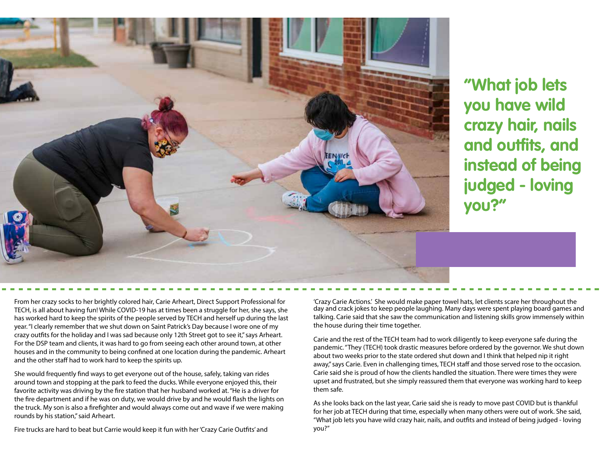

**"What job lets you have wild crazy hair, nails and outfits, and instead of being judged - loving you?"**

From her crazy socks to her brightly colored hair, Carie Arheart, Direct Support Professional for TECH, is all about having fun! While COVID-19 has at times been a struggle for her, she says, she has worked hard to keep the spirits of the people served by TECH and herself up during the last year. "I clearly remember that we shut down on Saint Patrick's Day because I wore one of my crazy outfits for the holiday and I was sad because only 12th Street got to see it," says Arheart. For the DSP team and clients, it was hard to go from seeing each other around town, at other houses and in the community to being confined at one location during the pandemic. Arheart and the other staff had to work hard to keep the spirits up.

She would frequently find ways to get everyone out of the house, safely, taking van rides around town and stopping at the park to feed the ducks. While everyone enjoyed this, their favorite activity was driving by the fire station that her husband worked at. "He is a driver for the fire department and if he was on duty, we would drive by and he would flash the lights on the truck. My son is also a firefighter and would always come out and wave if we were making rounds by his station," said Arheart.

Fire trucks are hard to beat but Carrie would keep it fun with her 'Crazy Carie Outts' and

'Crazy Carie Actions.' She would make paper towel hats, let clients scare her throughout the day and crack jokes to keep people laughing. Many days were spent playing board games and talking. Carie said that she saw the communication and listening skills grow immensely within the house during their time together.

Carie and the rest of the TECH team had to work diligently to keep everyone safe during the pandemic. "They (TECH) took drastic measures before ordered by the governor. We shut down about two weeks prior to the state ordered shut down and I think that helped nip it right away," says Carie. Even in challenging times, TECH staff and those served rose to the occasion. Carie said she is proud of how the clients handled the situation. There were times they were upset and frustrated, but she simply reassured them that everyone was working hard to keep them safe.

As she looks back on the last year, Carie said she is ready to move past COVID but is thankful for her job at TECH during that time, especially when many others were out of work. She said, "What job lets you have wild crazy hair, nails, and outfits and instead of being judged - loving you?"